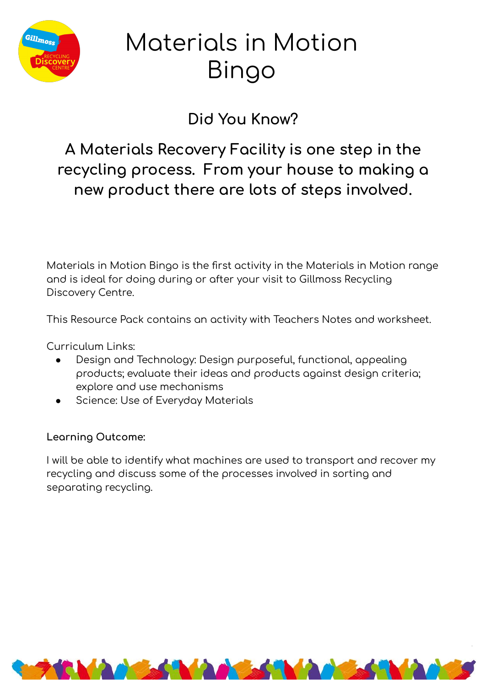

# Materials in Motion Bingo

### Did You Know?

A Materials Recovery Facility is one step in the recycling process. From your house to making a new product there are lots of steps involved.

Materials in Motion Bingo is the first activity in the Materials in Motion range and is ideal for doing during or after your visit to Gillmoss Recycling Discovery Centre.

This Resource Pack contains an activity with Teachers Notes and worksheet.

Curriculum Links:

- Design and Technology: Design purposeful, functional, appealing  $\bullet$ products; evaluate their ideas and products against design criteria; explore and use mechanisms
- Science: Use of Everyday Materials

### Learning Outcome:

I will be able to identify what machines are used to transport and recover my recycling and discuss some of the processes involved in sorting and separating recycling.

**NAMES NAMES NAMES**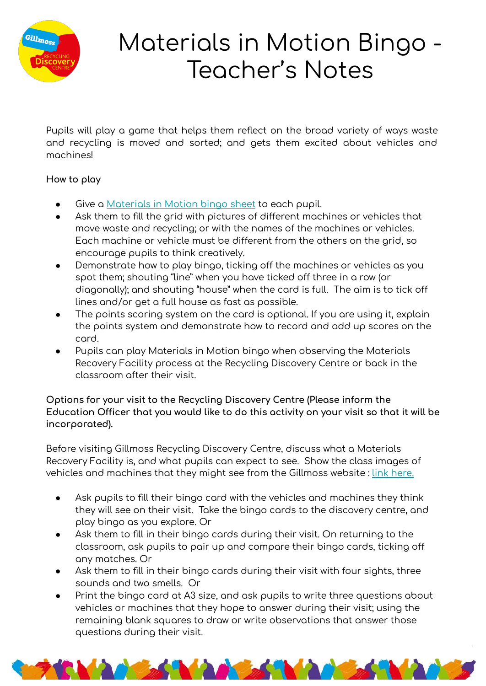

## Materials in Motion Bingo -Teacher's Notes

Pupils will play a game that helps them reflect on the broad variety of ways waste and recycling is moved and sorted; and gets them excited about vehicles and machines!

### **How to play**

- Give a Materials in Motion bingo sheet to each pupil.
- Ask them to fill the grid with pictures of different machines or vehicles that move waste and recycling; or with the names of the machines or vehicles. Each machine or vehicle must be different from the others on the grid, so encourage pupils to think creatively.
- Demonstrate how to play bingo, ticking off the machines or vehicles as you spot them; shouting "line" when you have ticked off three in a row (or diagonally); and shouting "house" when the card is full. The aim is to tick off lines and/or get a full house as fast as possible.
- The points scoring system on the card is optional. If you are using it, explain the points system and demonstrate how to record and add up scores on the card.
- Pupils can play Materials in Motion bingo when observing the Materials Recovery Facility process at the Recycling Discovery Centre or back in the classroom after their visit.

### Options for your visit to the Recycling Discovery Centre (Please inform the **Education Officer that you would like to do this activity on your visit so that it will be incorporated).**

Before visiting Gillmoss Recycling Discovery Centre, discuss what a Materials Recovery Facility is, and what pupils can expect to see. Show the class images of vehicles and machines that they might see from the Gillmoss website : [link here.](https://docs.google.com/presentation/d/1-4MlgXodstT2UftslelVBON8u4sTVeU_o3SFmie7Gvc/edit#slide=id.g77acb3d0dc_0_40)

- Ask pupils to fill their bingo card with the vehicles and machines they think they will see on their visit. Take the bingo cards to the discovery centre, and play bingo as you explore. Or
- Ask them to fill in their bingo cards during their visit. On returning to the classroom, ask pupils to pair up and compare their bingo cards, ticking off any matches. Or
- Ask them to fill in their bingo cards during their visit with four sights, three sounds and two smells. Or
- Print the bingo card at A3 size, and ask pupils to write three questions about vehicles or machines that they hope to answer during their visit; using the remaining blank squares to draw or write observations that answer those questions during their visit.

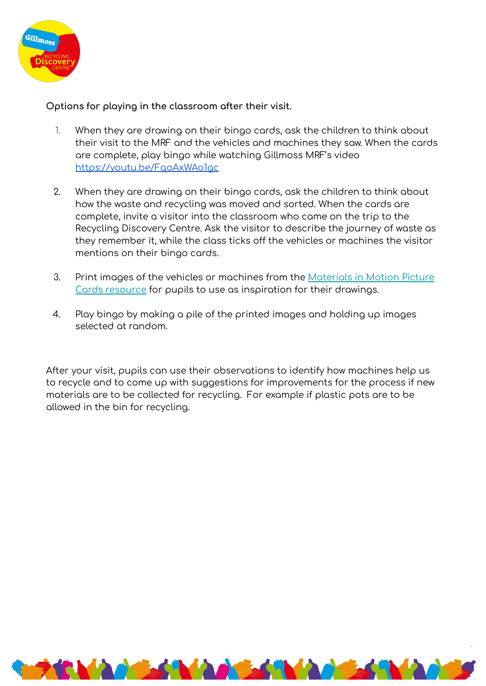

#### Options for playing in the classroom after their visit.

- 1. When they are drawing on their bingo cards, ask the children to think about their visit to the MRF and the vehicles and machines they saw. When the cards are complete, play bingo while watching Gillmoss MRF's video https://youtu.be/FqoAxWAo1qc
- 2. When they are drawing on their bingo cards, ask the children to think about how the waste and recycling was moved and sorted. When the cards are complete, invite a visitor into the classroom who came on the trip to the Recycling Discovery Centre. Ask the visitor to describe the journey of waste as they remember it, while the class ticks off the vehicles or machines the visitor mentions on their bingo cards.
- 3. Print images of the vehicles or machines from the [Materials in Motion Picture](https://docs.google.com/presentation/d/1-4MlgXodstT2UftslelVBON8u4sTVeU_o3SFmie7Gvc/edit#slide=id.g77acb3d0dc_0_94) [Cards resource](https://docs.google.com/presentation/d/1-4MlgXodstT2UftslelVBON8u4sTVeU_o3SFmie7Gvc/edit#slide=id.g77acb3d0dc_0_94) for pupils to use as inspiration for their drawings.
- 4. Play bingo by making a pile of the printed images and holding up images selected at random.

After your visit, pupils can use their observations to identify how machines help us to recycle and to come up with suggestions for improvements for the process if new materials are to be collected for recycling. For example if plastic pots are to be allowed in the bin for recycling.